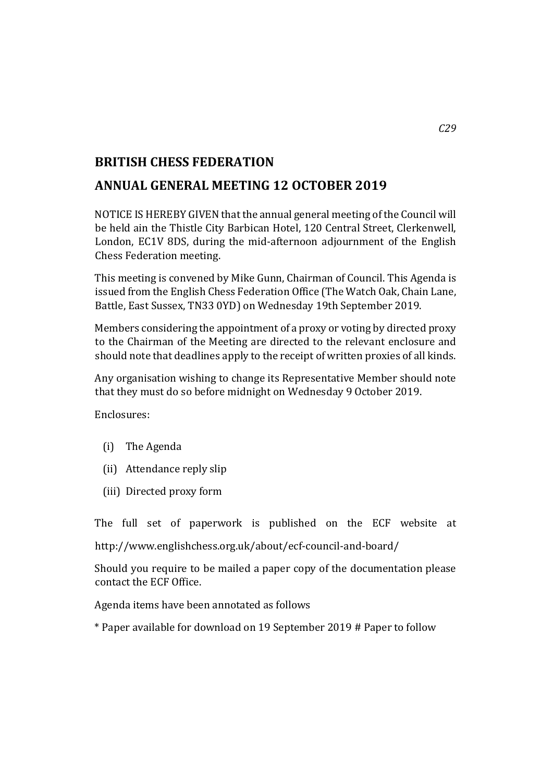## **BRITISH CHESS FEDERATION**

## **ANNUAL GENERAL MEETING 12 OCTOBER 2019**

NOTICE IS HEREBY GIVEN that the annual general meeting of the Council will be held ain the Thistle City Barbican Hotel, 120 Central Street, Clerkenwell, London, EC1V 8DS, during the mid-afternoon adjournment of the English Chess Federation meeting.

This meeting is convened by Mike Gunn, Chairman of Council. This Agenda is issued from the English Chess Federation Office (The Watch Oak, Chain Lane, Battle, East Sussex, TN33 0YD) on Wednesday 19th September 2019.

Members considering the appointment of a proxy or voting by directed proxy to the Chairman of the Meeting are directed to the relevant enclosure and should note that deadlines apply to the receipt of written proxies of all kinds.

Any organisation wishing to change its Representative Member should note that they must do so before midnight on Wednesday 9 October 2019.

Enclosures:

- (i) The Agenda
- (ii) Attendance reply slip
- (iii) Directed proxy form

The full set of paperwork is published on the ECF website at

http://www.englishchess.org.uk/about/ecf-council-and-board/

Should you require to be mailed a paper copy of the documentation please contact the ECF Office.

Agenda items have been annotated as follows

\* Paper available for download on 19 September 2019 # Paper to follow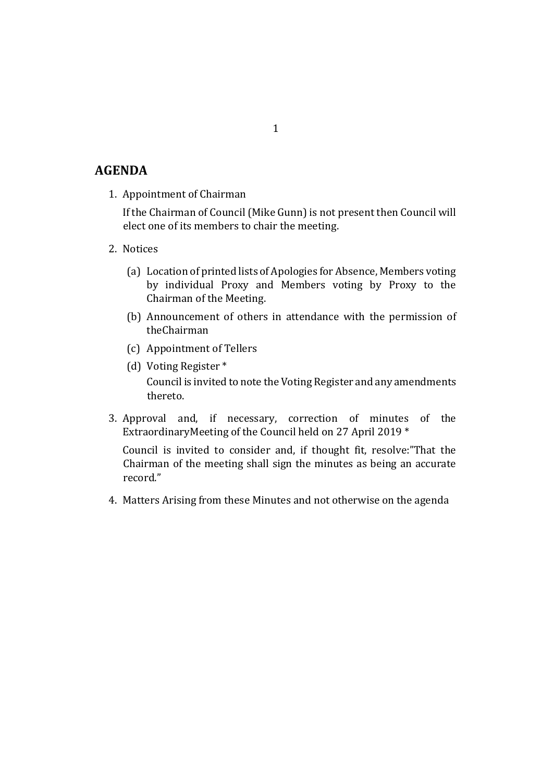## **AGENDA**

1. Appointment of Chairman

If the Chairman of Council (Mike Gunn) is not present then Council will elect one of its members to chair the meeting.

- 2. Notices
	- (a) Location of printed lists of Apologies for Absence, Members voting by individual Proxy and Members voting by Proxy to the Chairman of the Meeting.
	- (b) Announcement of others in attendance with the permission of theChairman
	- (c) Appointment of Tellers
	- (d) Voting Register \* Council is invited to note the Voting Register and any amendments thereto.
- 3. Approval and, if necessary, correction of minutes of the ExtraordinaryMeeting of the Council held on 27 April 2019 \*

Council is invited to consider and, if thought fit, resolve:"That the Chairman of the meeting shall sign the minutes as being an accurate record."

4. Matters Arising from these Minutes and not otherwise on the agenda